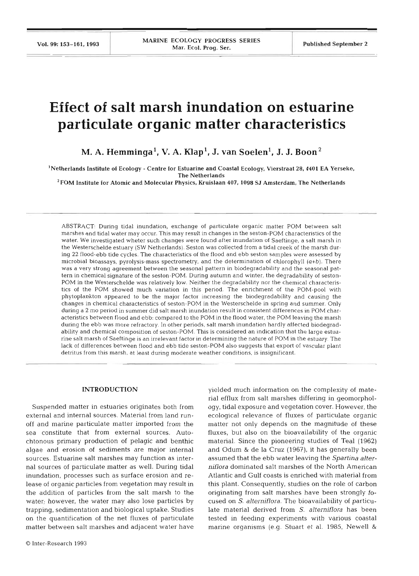# **Effect of salt marsh inundation on estuarine particulate organic matter characteristics**

 $M. A.$  Hemminga<sup>1</sup>, V. A.  $Klap<sup>1</sup>$ , J. van Soelen<sup>1</sup>, J. J. Boon<sup>2</sup>

'Netherlands Institute of Ecology - Centre for Estuarine and Coastal Ecology, Vierstraat **28,4401** EA Yerseke, **The** Netherlands

**'FOM** Institute for Atomic and Molecular Physics, Kruislaan **407, 1098** SJ Amsterdam, The Netherlands

ABSTRACT: During tidal inundation, exchange of particulate organic matter POM between salt marshes and tidal water may occur. This may result in changes in the seston-POM characteristics of the water. We investigated wheter such changes were found after inundation of Saeftinge, a salt marsh in the Westerschelde estuary (SW Netherlands). Seston was collected from a tidal creek of the marsh during 22 flood-ebb tide cycles. The characteristics of the flood and ebb seston samples were assessed by microbial bioassays, pyrolysis-mass spectrometry, and the determination of chlorophyll *(a+b).* There was a very strong agreement between the seasonal pattern in biodegradability and the seasonal pattern in chemical signature of the seston-POM. During autumn and winter, the degradability of seston-POM in the Westerschelde was relatively low. Neither the degradability nor the chemical characteristics of the POM showed much variation in this period. The enrichment of the POM-pool with phytoplankton appeared to be the major factor increasing the biodegradability and causing the changes in chemical characteristics of seston-POM in the Westerschelde in spring and summer. Only during a **<sup>2</sup>**mo period in summer did salt marsh inundation result in consistent differences in POM characteristics between flood and ebb: compared to the POM in the flood water, the POM leaving the marsh during the ebb was more refractory. In other periods, salt marsh inundation hardly affected biodegradability and chemical composition of seston-POM. This is considered an indication that the large estuarine salt marsh of Saeftinge is an irrelevant factor in determining the nature of POM in the estuary The lack of differences between flood and ebb tide seston-POM also suggests that export of vascular plant detritus from this marsh, at least during moderate weather conditions, is insignificant.

### **INTRODUCTION**

Suspended matter in estuaries originates both from external and internal sources. Material from land runoff and marine particulate matter imported from the sea constitute that from external sources. Autochtonous primary production of pelagic and benthic algae and erosion of sediments are major internal sources. Estuarine salt marshes may function as internal sources of particulate matter as well. During tidal inundation, processes such as surface erosion and release of organic particles from vegetation may result in the addition of particles from the salt marsh to the water; however, the water may also lose particles by trapping, sedmentation and biological uptake. Studies on the quantification of the net fluxes of particulate matter between salt marshes and adjacent water have

yielded much information on the complexity of material efflux from salt marshes differing in geomorphology, tidal exposure and vegetation cover. However, the ecological relevance of fluxes of particulate organic matter not only depends on the magnitude of these fluxes, but also on the bioavailability of the organic material. Since the pioneering studies of Teal (1962) and Odum & de la Cruz (1967), it has generally been assumed that the ebb water leaving the *Spartina alter***niflora** dominated salt marshes of the North American Atlantic and Gulf coasts is enriched with material from this plant. Consequently, studies on the role of carbon originating from salt marshes have been strongly focused on S. *alterniflora.* The bioavailability of particulate material derived from S. *alterniflora* has been tested in feeding experiments with various coastal marine organisms (e.g. Stuart et al. 1985, Newell &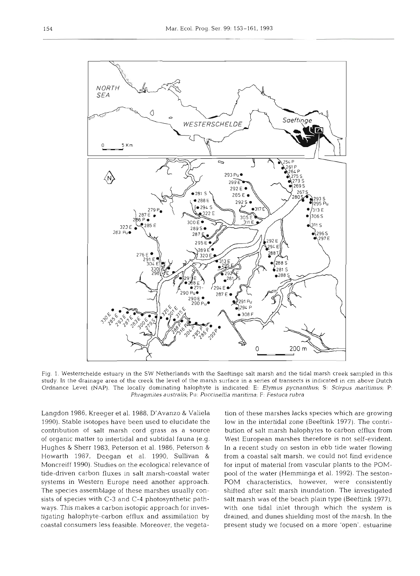

1. Westerschelde estuary in the SW Netherlands with the Saeftinge salt marsh and the tidal marsh creek sampled in this ly. In the drainage area of the creek the level of the marsh surface in a series of transects is indicated in cm above Dutch nance Level (NAP). The locally dominating halophyte is indicated: E: *Elymus pycnanthus*; S: *Scirpus maritimus*; P: *Phragmites australis;* Pu: *Puccinellia mantuna;* F: *Festuca rubra* 

Langdon 1986, Kreeger et al. 1988, D'Avanzo & Valiela 1990). Stable isotopes have been used to elucidate the contribution of salt marsh cord grass as a source of organic matter to intertidal and subtidal fauna (e.g. Hughes & Sherr 1983, Peterson et al. 1986, Peterson & Howarth 1987, Deegan et al. 1990, Sullivan & Moncreiff 1990). Studies on the ecological relevance of tide-driven carbon fluxes in salt marsh-coastal water systems in Western Europe need another approach. The species assemblage of these marshes usually consists of species with C-3 and C-4 photosynthetic pathways. This makes a carbon isotopic approach for investigating halophyte-carbon efflux and assimilation by coastal consumers less feasible. Moreover, the vegeta-

n of these marshes lacks species which are growing<br>v in the intertidal zone (Beeftink 1977). The contri-<br>tion of salt marsh halophytes to carbon efflux from<br>st European marshes therefore is not self-evident.<br>a recent study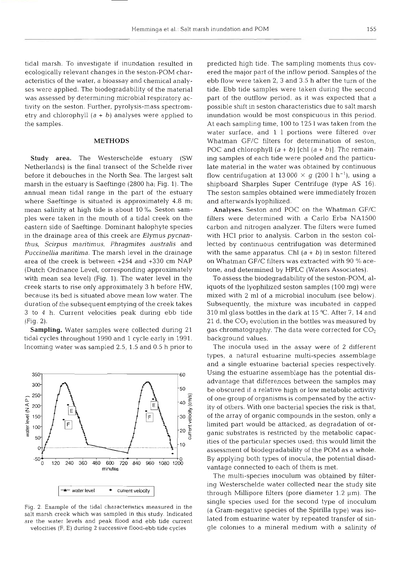tidal marsh. To investigate if inundation resulted in ecologically relevant changes in the seston-POM characteristics of the water, a bioassay and chemical analyses were applied. The biodegradability of the material was assessed by determining microbial respiratory activity on the seston. Further, pyrolysis-mass spectrometry and chlorophyll  $(a + b)$  analyses were applied to the samples.

# **METHODS**

**Study** area. The Westerschelde estuary (SW Netherlands) is the final transect of the Schelde river before it debouches in the North Sea. The largest salt marsh in the estuary is Saeftinge (2800 ha; Fig. 1). The annual mean tidal range in the part of the estuary where Saeftinge is situated is approximately 4.8 m; mean salinity at high tide is about 10 **%a** Seston samples were taken in the mouth of a tidal creek on the eastern side of Saeftinge. Dominant halophyte species in the drainage area of this creek are Elymus pycnanthus, Scirpus maritimus, Phragmites australis and Puccinellia maritima. The marsh level in the drainage area of the creek is between  $+254$  and  $+330$  cm (Dutch Ordnance Level, corresponding approximately with mean sea level) (Fig. 1). The water level in the creek starts to rise only approximately 3 h before HW, because its bed is situated above mean low water duration of the subsequent emptying of the creek takes 3 to 4 h. Current velocities peak during ebb tide (Fig. 2).

Sampling. Water samples were collected during 21 tidal cycles throughout 1990 and 1 cycle early in 1991. Incoming water was sampled 2.5, 1.5 and 0.5 h prior to



Fig. 2. Example of the tidal characteristics measured in the salt marsh creek which was sampled in this study. Indicated are the water levels and peak flood and ebb tide current velocities (F, E) during 2 successive flood-ebb tide cycles

predicted high tide. The sampling moments thus covered the major part of the inflow period. Samples of the ebb flow were taken 2, 3 and 3.5 h after the turn of the tide. Ebb tide samples were taken during the second part of the outflow period, as it was expected that a possible shift in seston characteristics due to salt marsh inundation would be most conspicuous in this period. At each sampling time, 100 to 125 1 was taken from the water surface, and 1 1 portions were filtered over Whatman GF/C filters for determination of seston, POC and chlorophyll  $(a + b)$  [chl  $(a + b)$ ]. The remaining samples of each tide were pooled and the particulate material in the water was obtained by continuous flow centrifugation at 13 000  $\times$  g (200 1 h<sup>-1</sup>), using a shipboard Sharples Super Centrifuge (type AS 16). The seston samples obtained were immediately frozen and afterwards lyophilized.

Analyses. Seston and POC on the Whatman GF/C filters were determined with a Carlo Erba NA1500 carbon and nitrogen analyzer. The filters were fumed with HCl prior to analysis. Carbon in the seston collected by continuous centrifugation was determined with the same apparatus. Chl  $(a + b)$  in seston filtered on Whatman GF/C filters was extracted with 90 % acetone, and determined by HPLC (Waters Associates).

To assess the biodegradability of the seston-POM, aliquots of the lyophilized seston samples (100 mg) were mixed with 2 m1 of a microbial inoculum (see below). Subsequently, the mixture was incubated in capped 310 m1 glass bottles in the dark at 15 'C. After 7, 14 and 21 d, the *CO2* evolution in the bottles was measured by gas chromatography. The data were corrected for  $CO<sub>2</sub>$ background values.

The inocula used in the assay were of 2 different types, a natural estuarine multi-species assemblage and a single estuarine bacterial species respectively. Using the estuarine assemblage has the potential disadvantage that differences between the samples may be obscured if a relative high or low metabolic activity<br>of one group of organisms is compensated by the activity<br>it is at at hard Mith and has testial mogine the risk is that of one group of organisms is compensated by the activity of others. With one bacterial species the risk is that,<br>of the array of organic compounds in the seston, only a<br>limited part would be attacked, as degradation of or-<br>ganic substrates is restricted by the metabolic cap of the array of organic compounds in the seston, only a limited part would be attacked, as degradation of organic substrates is restricted by the metabolic capacities of the particular species used; this would limit the assessment of biodegradability of the POM as a whole. By applying both types of inocula, the potential disadvantage connected to each of them is met.

> The multi-species inoculum was obtained by filtering Westerschelde water collected near the study site through Millipore filters (pore diameter  $1.2 \mu m$ ). The single species used for the second type of inoculum (a Gram-negative species of the Spirilla type) was isolated from estuarine water by repeated transfer of single colonies to a mineral medium with a salinity of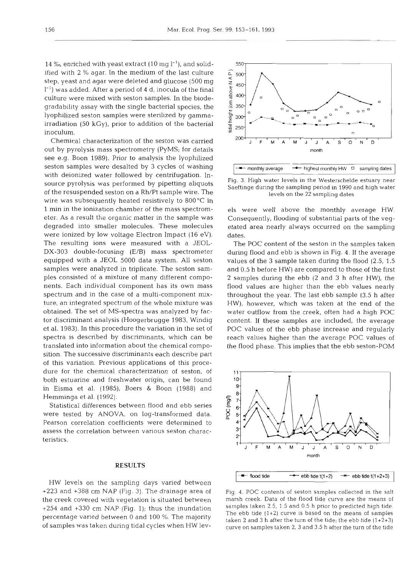14 **%o,** enriched with yeast extract (10 mg I-'), and solidified with **2** % agar. In the medium of the last culture step, yeast and agar were deleted and glucose (500 mg  $1^{-1}$ ) was added. After a period of 4 d, inocula of the final culture were mixed with seston samples. In the biodegradability assay with the single bacterial species, the lyophilized seston samples were sterilized by gammairradiation (50 kGy), prior to addition of the bacterial inoculum.

Chemical characterization of the seston was carried out by pyrolysis mass spectrometry (PyMS; for details see e.g. Boon 1989). Prior to analysis the lyophilized seston samples were desalted by 3 cycles of washing with deionized water followed by centrifugation. Insource pyrolysis was performed by pipetting aliquots of the resuspended seston on a Rh/Pt sample wire. The wire was subsequently heated resistively to 800°C in 1 min in the ionization chamber of the mass spectrometer. As a result the organic matter in the sample was degraded into smaller molecules. These molecules were ionized by low voltage Electron Impact (16 eV). The resulting ions were measured with a JEOL-DX-303 double-focusing (E/B) mass spectrometer equipped with a JEOL 5000 data system. **All** seston samples were analyzed in triplicate. The seston samples consisted of a mixture of many different components. Each individual component has its own mass spectrum and in the case of a multi-component mixture, an integrated spectrum of the whole mixture was obtained. The set of MS-spectra was analyzed by factor discriminant analysis (Hoogerbrugge 1983, Windig et al. 1983). In this procedure the variation in the set of spectra is described by discriminants, which can be translated into information about the chemical composition. The successive discriminants each describe part of this variation. Previous applications of this procedure for the chemical characterization of seston, of both estuarine and freshwater origin, can be found in Eisma et al. (1985), Boers & Boon (1988) and Hemminga et al. (1992).

Statistical differences between flood and ebb series were tested by ANOVA, on log-transformed data. Pearson correlation coefficients were determined to assess the correlation between various seston characteristics.

# **RESULTS**

HW levels on the sampling days varied between +223 and +388 cm NAP (Fig. 3). The drainage area of the creek covered with vegetation is situated between +254 and +330 cm NAP (Fig. 1); thus the inundation percentage varied between 0 and 100 %. The majority of samples was taken during tidal cycles when HW lev-



Fig. **3.** High water levels in the Westerschelde estuary near Saeftinge during the sampling period in 1990 and high water levels on the 22 sampling dates

els were well above the monthly average HW. Consequently, flooding of substantial parts of the vegetated area nearly always occurred on the sampling dates.

The POC content of the seston in the samples taken during flood and ebb is shown in Fig. 4. If the average values of the 3 sample taken during the flood (2.5, 1.5 and 0.5 h before HW) are compared to those of the first **2** samples during the ebb (2 and 3 h after HW), the flood values are higher than the ebb values nearly throughout the year. The last ebb sample (3.5 h after HW), however, which was taken at the end of the water outflow from the creek, often had a high POC content. If these samples are included, the average POC values of the ebb phase increase and regularly reach values higher than the average POC values of the flood phase. This implies that the ebb seston-POM



Fig. 4. POC contents of seston samples collected in the salt<br>marsh creek. Data of the flood tide curve are the means of<br>samples taken 2.5, 1.5 and 0.5 h prior to predicted high tide.<br>The ebb tide (1+2) curve is based on t curve on samples taken 2, **3** and 3.5 h after the turn of the tide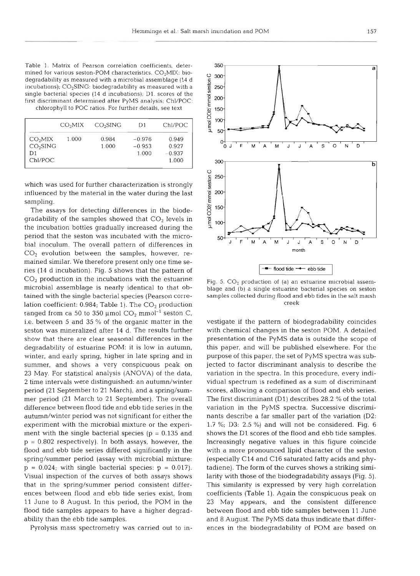Table 1. Matrix of Pearson correlation coefficients, determined for various seston-POM characteristics.  $CO<sub>2</sub>MIX:$  biodegradability as measured with a microbial assemblage (14 d incubations); C0,SING: biodegradability as measured with a single bacterial species (14 d incubations); D1. scores of the first discriminant determined after PyMS analysis; Chl/POC: chlorophyll to POC ratios. For further details, see text

|                                                              | CO <sub>2</sub> MIX | CO <sub>2</sub> SING | D1                            | Chl/POC                             |
|--------------------------------------------------------------|---------------------|----------------------|-------------------------------|-------------------------------------|
| CO <sub>2</sub> MIX<br>CO <sub>2</sub> SING<br>D1<br>Chl/POC | 1.000               | 0.984<br>1.000       | $-0.976$<br>$-0.953$<br>1.000 | 0.949<br>0.927<br>$-0.937$<br>1.000 |

which was used for further characterization is strongly influenced by the material in the water during the last sampling.

The assays for detecting differences in the biodegradability of the samples showed that  $CO<sub>2</sub>$  levels in the incubation bottles gradually increased during the period that the seston was incubated with the microbial inoculum. The overall pattern of differences in  $CO<sub>2</sub>$  evolution between the samples, however, remained similar. We therefore present only one time series (14 d incubation). Fig. 5 shows that the pattern of  $CO<sub>2</sub>$  production in the incubations with the estuarine microbial assemblage is nearly identical to that obtained with the single bacterial species (Pearson correlation coefficient:  $0.984$ ; Table 1). The  $CO<sub>2</sub>$  production ranged from ca 50 to 350  $\mu$ mol CO<sub>2</sub> mmol<sup>-1</sup> seston C, i.e. between 5 and 35 % of the organic matter in the seston was mineralized after 14 d. The results further show that there are clear seasonal differences in the degradability of estuarine POM: it is low in autumn, winter, and early spring, higher in late spring and in summer, and shows a very conspicuous peak on 23 May. For statistical analysis (ANOVA) of the data, 2 time intervals were distinguished: an autumn/winter period (21 September to 21 March), and a spring/summer period (21 March to 21 September). The overall difference between flood tide and ebb tide series in the autumn/winter period was not significant for either the experiment with the microbial mixture or the experiment with the single bacterial species ( $p = 0.135$  and  $p = 0.802$  respectively). In both assays, however, the flood and ebb tide series differed significantly in the spring/summer period (assay with microbial mixture:  $p = 0.024$ ; with single bacterial species:  $p = 0.017$ . Visual inspection of the curves of both assays shows that in the spring/summer period consistent differences between flood and ebb tide series exist, from 11 June to 8 August. In this period, the POM in the flood tide samples appears to have a higher degradability than the ebb tide samples.

Pyrolysis mass spectrometry was carried out to in-

Fig. 5. CO<sub>2</sub> production of (a) an estuarine microbial assem-<br>blage and (b) a single estuarine bacterial species on seston<br>samples collected during flood and ebb tides in the salt marsh<br>reack.<br>vestigate if the pattern of

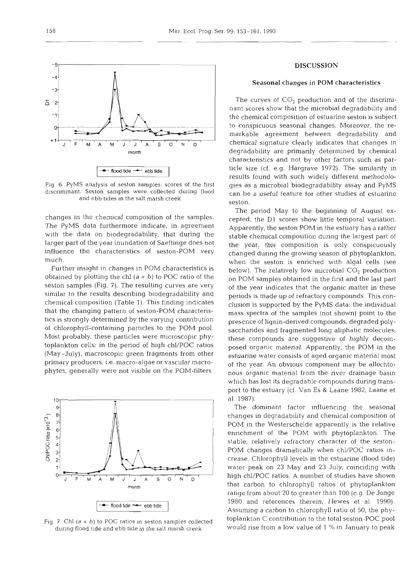

changes in the chemical composition of the samples. The PyMS data furthermore indicate, in agreement with the data on biodegradability, that during the larger part of the year inundation of Saeftinge does not influence the characteristics of seston-POM very much.

Further insight in changes in POM characteristics is obtained by plotting the chl  $(a + b)$  to POC ratio of the seston samples (Fig. 7). The resulting curves are very similar to the results describing biodegradability and chemical composition (Table 1). This finding indicates that the changing pattern of seston-POM characteristics is strongly determined by the varying contribution of chlorophyll-containing particles to the POM pool. Most probably, these particles were microscopic phytoplankton cells: in the period of high chl/POC ratios (May-July), macroscopic green fragments from other primary producers, i.e. macro-algae or vascular macrophytes, generally were not visible on the POM-filters.

#### $10$ 9 8 Chi/POC ratio (x10<sup>-3</sup>)  $7$  $6<sup>1</sup>$  $5<sup>2</sup>$  $\ddot{a}$  $3 \mathbf{2}$ 1  $\sigma$ M  $\overline{A}$ M S  $\circ$ N D J J A month  $\cdot$  **flood tide**  $\rightarrow$  ebb tide

Fig. 7 Chl  $(a + b)$  to POC ratios in seston samples collected during flood tide and ebb tide in the salt marsh creek

## DISCUSSION

## Seasonal changes in POM characteristics

The curves of  $CO<sub>2</sub>$  production and of the discriminant scores show that the microbial degradability and the chemical composition of estuarine seston is subject to conspicuous seasonal changes. Moreover, the remarkable agreement between degradability and chemical signature clearly indicates that changes in degradability are primarily determined by chemical characteristics and not by other factors such as particle size (cf. e.g. Hargrave 1972). The similarity in results found with such widely different methodologies as a microbial biodegradability assay and PyMS can be a useful feature for other studies of estuarine seston.

The period May to the beginning of August excepted, the D1 scores show iittie temporal variation. Apparently, the seston POM in the estuary has a rather stable chemical composition during the largest part of the year; this composition is only conspicuously changed during the growing season of phytoplankton, when the seston is enriched with algal cells (see below). The relatively low microbial  $CO<sub>2</sub>$  production on POM samples obtained in the first and the last part of the year indicates that the organic matter in these periods is made up of refractory compounds. This conclusion is supported by the PyMS data: the individual mass spectra of the samples (not shown) point to the presence of lignin-derived compounds, degraded polysaccharides and fragmented long aliphatic molecules; these compounds are suggestive of highly decomposed organic material. Apparently, the POM in the estuarine water consists of aged organic material most of the year. An obvious component may be allochtonous organic material from the river drainage basin which has lost its degradable compounds during transport to the estuary (cf. Van Es & Laane 1982, Laane et al. 1987).

The dominant factor influencing the seasonal changes in degradability and chemical composition of POM in the Westerschelde apparently is the relative enrichment of the POM with phytoplankton. The stable, relatively refractory character of the seston-POM changes dramatically when chl/POC ratios increase. Chlorophyll levels in the estuarine (flood tide) water peak on 23 May and 23 July, coinciding with high chl/POC ratios. A number of studies have shown that carbon to chlorophyll ratios of phytoplankton range from about 20 to greater than 100 (e.g. De Jonge 1980 and references therein, Hewes et al. 1990). Assuming a carbon to chlorophyll ratio of 50, the phytoplankton C contribution to the total seston-POC pool would rise from a low value of 1 % in January to peak

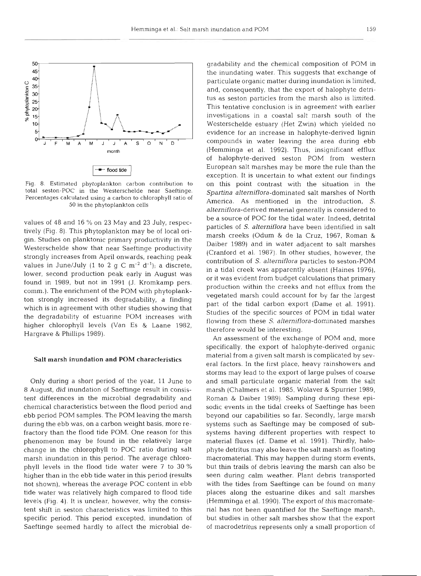

Fig. 8. Estimated phytoplankton carbon contribution to total seston-POC in the Westerschelde near Saeftinge. Percentages calculated using a carbon to chlorophyll ratio of 50 in the phytoplankton cells

values of 48 and 16 % on 23 May and 23 July, respectively (Fig. 8). This phytoplankton may be of local origin. Studies on planktonic primary productivity in the Westerschelde show that near Saeftinge productivity strongly increases from April onwards, reaching peak values in June/July (1 to 2 g C  $m^{-2}$  d<sup>-1</sup>); a discrete, lower, second production peak early in August was found in 1989, but not in 1991 (J. Kromkamp pers. comm.). The enrichment of the POM with phytoplankton strongly increased its degradability, a finding which is in agreement with other studies showing that the degradability of estuarine POM increases with higher chlorophyll levels (Van Es & Laane 1982, Hargrave & Phillips 1989).

## Salt marsh inundation and POM character

Only during a short period of the year, 11 June to 8 August, did inundation of Saeftinge result in consistent differences in the microbial degradability and chemical characteristics between the flood period and ebb period POM samples. The POM leaving the marsh during the ebb was, on a carbon weight basis, more refractory than the flood tide POM. One reason for this phenomenon may be found in the relatively large change in the chlorophyll to POC ratio during salt marsh inundation in this period. The average chlorophyll levels in the flood tide water were 7 to 30 % higher than in the ebb tide water in this period (results not shown), whereas the average POC content in ebb tide water was relatively high compared to flood tide levels (Fig. 4). It is unclear, however, why the consistent shift in seston characteristics was limited to specific period. This period excepted, inundation of Saeftinge seemed hardly to affect the microbial de-

gradability and the chemical composition of PO<br>the inundating water. This suggests that exchan-<br>particulate organic matter during inundation is lim<br>and, consequently, that the export of halophyte tus<br>as seston particles f

Daiber 1989) and in water adjacent to salt mark<br>  $\frac{v}{N}$ <br>
(Cranford et al. 1987). In other studies, however<br>
contribution of *S. alterniflora* particles to sestor-<br>
in a tidal creek was apparently absent (Haines 1:<br>
or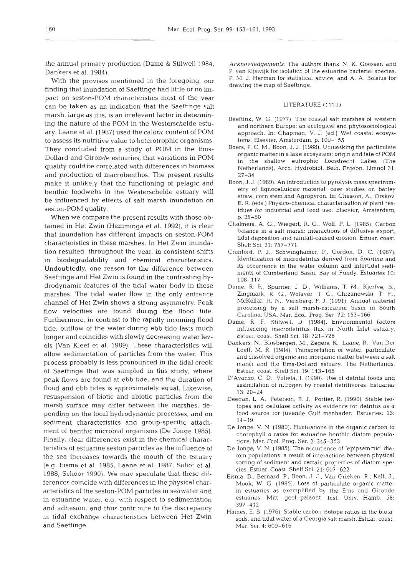the annual primary production (Dame & Stilwell 1984, Dankers et al. 1984).

With the provisos mentioned in the foregoing, our finding that inundation of Saeftinge had little or no impact on seston-POM characteristics most of the year can be taken as an indication that the Saeftinge salt marsh, large as it is, is an irrelevant factor in determining the nature of the POM in the Westerschelde estuary. Laane et al. (1987) used the caloric content of POM to assess its nutritive value to heterotrophic organisms. They concluded from a study of POM in the Ems-Dollard and Gironde estuaries, that variations in POM quality could be correlated with differences in biomass and production of macrobenthos. The present results make it unlikely that the functioning of pelagic and benthic foodwebs in the Westerschelde estuary will be influenced by effects of salt marsh inundation on seston-POM quality.

When we ccmpare the present results with those obtained in Het Zwin (Hemminga et al. 1992), it is clear that inundation has different impacts on seston-POM characteristics in these marshes. In Het Zwin inundation resulted, throughout the year, in consistent shifts in biodegradability and chemical characteristics. Undoubtedly, one reason for the difference between Saeftinge and Het Zwin is found in the contrasting hydrodynamic features of the tidal water body in these marshes. The tidal water flow in the only entrance channel of Het Zwin shows a strong asymmetry. Peak flow velocities are found during the flood tide. Furthermore, in contrast to the rapidly incoming flood tide, outflow of the water during ebb tide lasts much longer and coincides with slowly decreasing water levels (Van Kleef et al. 1989). These characteristics will allow sedimentation of particles from the water. This process probably is less pronounced in the tidal creek of Saeftinge that was sampled in this study, where peak flows are found at ebb tide, and the duration of flood and ebb tides is approximately equal. Likewise, resuspension of biotic and abiotic particles from the marsh surface may differ between the marshes, depending on the local hydrodynamic processes, and on sediment characteristics and group-specific attachment of benthic microbial organisms (De Jonge 1985). Finally, clear differences exist in the chemical characteristics of estuarine seston particles as the influence of the sea increases towards the mouth of the estuary (e.g. Eisma et al. 1985, Laane et al. 1987, Saliot et al. 1988, Schoer 1990). We may speculate that these differences coincide with differences in the physical characteristics of the seston-POM particles in seawater and in estuarine water, e.g. with respect to sedimentation and adhesion, and thus contribute to the discrepancy in tidal exchange characteristics between Het Zwin and Saeftinge.

Acknowledgements. The authors thank N. K. Goossen and P. van Rijswijk for isolation of the estuarine bacterial species, P. M. J. Herman for statistical advice, and A. A. Bolsius for drawing the map of Saeftinge.

## LITERATURE CITED

- Beeftink, W. G. (1977). The coastal salt marshes of western and northern Europe: an ecological and phytosociological approach. In. Chapman, V. J. (ed.) Wet coastal ecosystems. Elsevier, Amsterdam, p. 109-155
- Boers, P. C. M., Boon, J. J. (1988). Unmasking the particulate organic matter in a lake ecosystem: origin and fate of POM in the shallow eutrophic Loosdrecht Lakes (The Netherlands). Arch. Hydrobiol. Beih. Ergebn. Limnol 31: 27-34
- Boon, J. J. (1989). An introduction to pyrolysis mass spectrometry of lignocellulosic material: case studies on barley straw, corn stem and Agropyron. In: Chesson, A.. Orskov, E. R. (eds.) Physico-chemical characterisation of plant residues for industrial and feed use. Elsevier, Amsterdam, p. 25-50
- Chalmers, A G., Wiegert, R. G., Wolf, P. L. (1985). Carbon balance in a salt marsh: interactions of diffusive export, tidal deposition and rainfall-caused erosion. Estuar. coast. Shelf Sci. 21: 757-771
- Cranford, P. J., Schwingharner, P., Gordon, D. C. (1987). Identification of microdetritus derived from Spartina and its occurrence in the water column and intertidal sedirnents of Cumberland Basin. Bay of Fundy. Estuaries 10: 108-117
- Dame, R. F., Spurrier, J D., Williams, T. M,, Kjerfve, B., Zingmark, R. G., Wolaver, T G., Chrzanowski, T H., McKellar, H. N., Vernberg, F. J. (1991). Annual material processing by a salt marsh-estuarine basin in South Carolina, USA. Mar. Ecol. Prog. Ser. 72: 153-166
- Dame, R. F.. Stilwell. D. (1984). Environmental factors influencing macrodetritus flux in North Inlet estuary. Estuar. coast. Shelf Sci. 18: 721-726
- Dankers, N., Binsbergen, M,, Zegers, K., Laane, R., Van Der Loeff, M. R. (1984). Transportation of water, particulate and dissolved organic and Inorganic matter between a salt marsh and the Erns-Dollard estuary, The Netherlands. Estuar. coast. Shelf Sci. 19: 143-165
- D'Avanzo, C. D., Valiela, I. (1990). Use of detrital foods and assimilation of nitrogen by coastal detritivores. Estuaries 13: 20-24
- Deegan, L. A., Peterson, B. J., Portier, R. (1990). Stable isotopes and cellulase activity as evidence for detritus as a food source for juvenile Gulf menhaden. Estuaries: 13: 14-19
- De Jonge. V. N. (1980). Fluctuations in the organic carbon to chorophyll a ratios for estuarine benthic diatom populations. Mar. Ecol. Prog. Ser. 2: 345-353
- De Jonge, V. N. (1985). The occurrence of 'epipsammic' diatom populations: a result of interactions between physical sorting of sediment and certain properties of diatom species. Estuar. Coast. Shelf Sci. 21: 607-622
- Eisma, D.. Bernard, P., Boon. J. J., Van Grieken. R.. Kalf, J., Mook, W. G. (1985). Loss of particulate organic matter in estuaries as exemplified by the Ems and Gironde estuaries. Mitt. geol.-paläont. Inst. Univ. Hamb. 58: 397-412
- Haines, E. B. (1976). Stable carbon isotope ratios in the biota, soils, and tidal water of a Georgia salt marsh. Estuar. coast. Mar. Sci. 4: 609-616